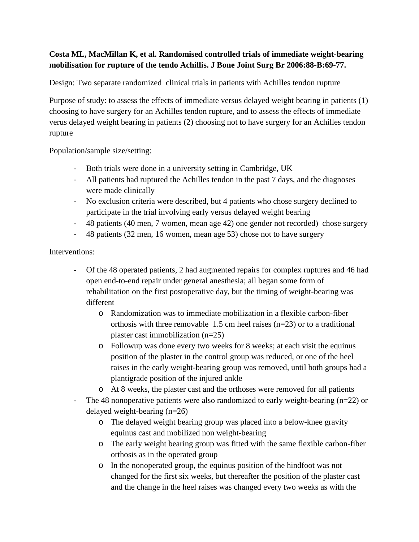# **Costa ML, MacMillan K, et al. Randomised controlled trials of immediate weight-bearing mobilisation for rupture of the tendo Achillis. J Bone Joint Surg Br 2006:88-B:69-77.**

Design: Two separate randomized clinical trials in patients with Achilles tendon rupture

Purpose of study: to assess the effects of immediate versus delayed weight bearing in patients (1) choosing to have surgery for an Achilles tendon rupture, and to assess the effects of immediate verus delayed weight bearing in patients (2) choosing not to have surgery for an Achilles tendon rupture

Population/sample size/setting:

- Both trials were done in a university setting in Cambridge, UK
- All patients had ruptured the Achilles tendon in the past 7 days, and the diagnoses were made clinically
- No exclusion criteria were described, but 4 patients who chose surgery declined to participate in the trial involving early versus delayed weight bearing
- 48 patients (40 men, 7 women, mean age 42) one gender not recorded) chose surgery
- 48 patients (32 men, 16 women, mean age 53) chose not to have surgery

## Interventions:

- Of the 48 operated patients, 2 had augmented repairs for complex ruptures and 46 had open end-to-end repair under general anesthesia; all began some form of rehabilitation on the first postoperative day, but the timing of weight-bearing was different
	- o Randomization was to immediate mobilization in a flexible carbon-fiber orthosis with three removable 1.5 cm heel raises (n=23) or to a traditional plaster cast immobilization (n=25)
	- o Followup was done every two weeks for 8 weeks; at each visit the equinus position of the plaster in the control group was reduced, or one of the heel raises in the early weight-bearing group was removed, until both groups had a plantigrade position of the injured ankle
	- o At 8 weeks, the plaster cast and the orthoses were removed for all patients
- The 48 nonoperative patients were also randomized to early weight-bearing (n=22) or delayed weight-bearing (n=26)
	- o The delayed weight bearing group was placed into a below-knee gravity equinus cast and mobilized non weight-bearing
	- o The early weight bearing group was fitted with the same flexible carbon-fiber orthosis as in the operated group
	- o In the nonoperated group, the equinus position of the hindfoot was not changed for the first six weeks, but thereafter the position of the plaster cast and the change in the heel raises was changed every two weeks as with the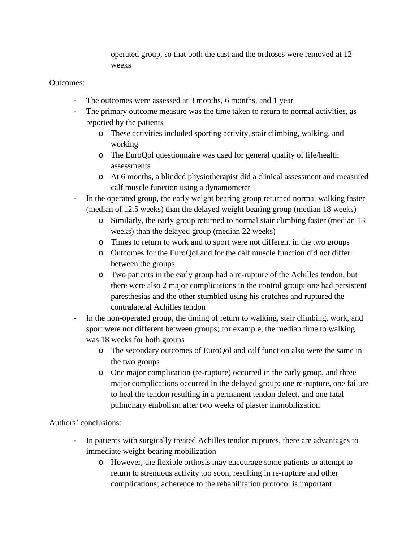operated group, so that both the cast and the orthoses were removed at 12 weeks

# Outcomes:

- The outcomes were assessed at 3 months, 6 months, and 1 year
- The primary outcome measure was the time taken to return to normal activities, as reported by the patients
	- o These activities included sporting activity, stair climbing, walking, and working
	- o The EuroQol questionnaire was used for general quality of life/health assessments
	- o At 6 months, a blinded physiotherapist did a clinical assessment and measured calf muscle function using a dynamometer
- In the operated group, the early weight bearing group returned normal walking faster (median of 12.5 weeks) than the delayed weight bearing group (median 18 weeks)
	- o Similarly, the early group returned to normal stair climbing faster (median 13 weeks) than the delayed group (median 22 weeks)
	- o Times to return to work and to sport were not different in the two groups
	- o Outcomes for the EuroQol and for the calf muscle function did not differ between the groups
	- o Two patients in the early group had a re-rupture of the Achilles tendon, but there were also 2 major complications in the control group: one had persistent paresthesias and the other stumbled using his crutches and ruptured the contralateral Achilles tendon
- In the non-operated group, the timing of return to walking, stair climbing, work, and sport were not different between groups; for example, the median time to walking was 18 weeks for both groups
	- o The secondary outcomes of EuroQol and calf function also were the same in the two groups
	- o One major complication (re-rupture) occurred in the early group, and three major complications occurred in the delayed group: one re-rupture, one failure to heal the tendon resulting in a permanent tendon defect, and one fatal pulmonary embolism after two weeks of plaster immobilization

## Authors' conclusions:

- In patients with surgically treated Achilles tendon ruptures, there are advantages to immediate weight-bearing mobilization
	- o However, the flexible orthosis may encourage some patients to attempt to return to strenuous activity too soon, resulting in re-rupture and other complications; adherence to the rehabilitation protocol is important